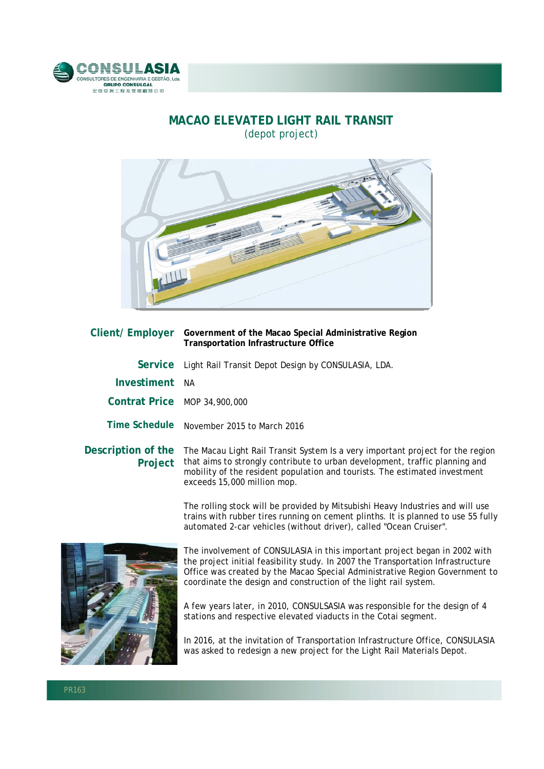

## **MACAO ELEVATED LIGHT RAIL TRANSIT**  (depot project)



| Client/ Employer              | Government of the Macao Special Administrative Region<br><b>Transportation Infrastructure Office</b>                                                                                                                    |
|-------------------------------|-------------------------------------------------------------------------------------------------------------------------------------------------------------------------------------------------------------------------|
|                               | Service Light Rail Transit Depot Design by CONSULASIA, LDA.                                                                                                                                                             |
| Investiment                   | - NA                                                                                                                                                                                                                    |
| Contrat Price MOP 34,900,000  |                                                                                                                                                                                                                         |
|                               | Time Schedule November 2015 to March 2016                                                                                                                                                                               |
| Description of the<br>Project | The Macau Light Rail Transit System Is a very important project for t<br>that aims to strongly contribute to urban development, traffic plann<br>mobility of the resident population and tourists. The estimated invest |

the region that aims to strongly contribute to urban development, traffic planning and mobility of the resident population and tourists. The estimated investment exceeds 15,000 million mop.

The rolling stock will be provided by Mitsubishi Heavy Industries and will use trains with rubber tires running on cement plinths. It is planned to use 55 fully automated 2-car vehicles (without driver), called "Ocean Cruiser".



The involvement of CONSULASIA in this important project began in 2002 with the project initial feasibility study. In 2007 the Transportation Infrastructure Office was created by the Macao Special Administrative Region Government to coordinate the design and construction of the light rail system.

A few years later, in 2010, CONSULSASIA was responsible for the design of 4 stations and respective elevated viaducts in the Cotai segment.

In 2016, at the invitation of Transportation Infrastructure Office, CONSULASIA was asked to redesign a new project for the Light Rail Materials Depot.

l